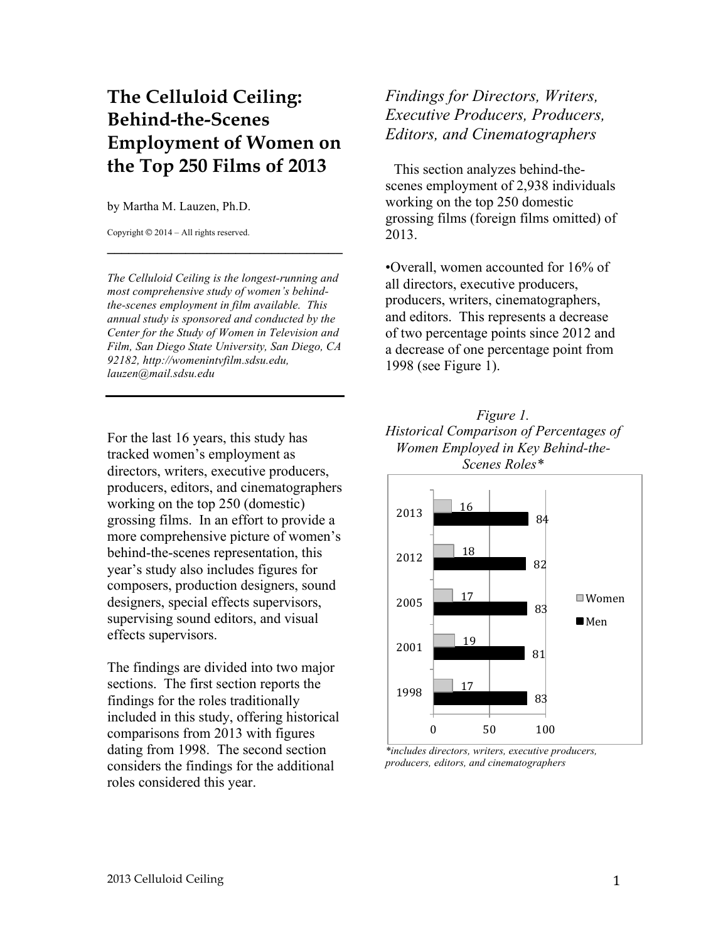## **The Celluloid Ceiling: Behind-the-Scenes Employment of Women on the Top 250 Films of 2013**

## by Martha M. Lauzen, Ph.D.

Copyright © 2014 – All rights reserved.

*The Celluloid Ceiling is the longest-running and most comprehensive study of women's behindthe-scenes employment in film available. This annual study is sponsored and conducted by the Center for the Study of Women in Television and Film, San Diego State University, San Diego, CA 92182, http://womenintvfilm.sdsu.edu, lauzen@mail.sdsu.edu*

**\_\_\_\_\_\_\_\_\_\_\_\_\_\_\_\_\_\_\_\_\_\_\_\_\_\_\_\_\_\_\_\_\_**

For the last 16 years, this study has tracked women's employment as directors, writers, executive producers, producers, editors, and cinematographers working on the top 250 (domestic) grossing films. In an effort to provide a more comprehensive picture of women's behind-the-scenes representation, this year's study also includes figures for composers, production designers, sound designers, special effects supervisors, supervising sound editors, and visual effects supervisors.

The findings are divided into two major sections. The first section reports the findings for the roles traditionally included in this study, offering historical comparisons from 2013 with figures dating from 1998. The second section considers the findings for the additional roles considered this year.

*Findings for Directors, Writers, Executive Producers, Producers, Editors, and Cinematographers*

This section analyzes behind-thescenes employment of 2,938 individuals working on the top 250 domestic grossing films (foreign films omitted) of 2013.

•Overall, women accounted for 16% of all directors, executive producers, producers, writers, cinematographers, and editors. This represents a decrease of two percentage points since 2012 and a decrease of one percentage point from 1998 (see Figure 1).





*\*includes directors, writers, executive producers, producers, editors, and cinematographers*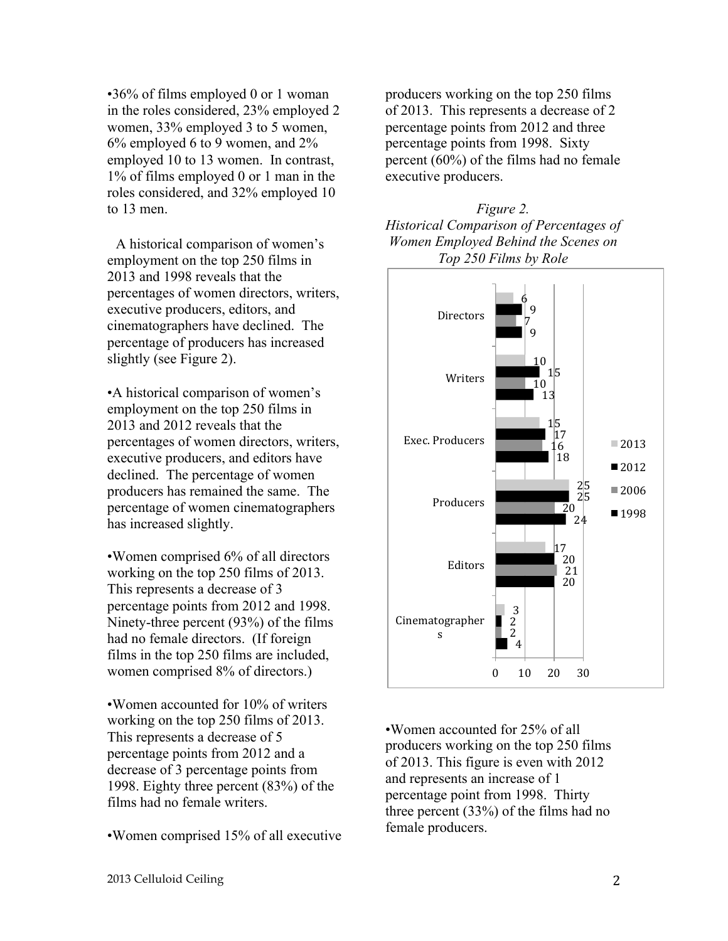•36% of films employed 0 or 1 woman in the roles considered, 23% employed 2 women, 33% employed 3 to 5 women, 6% employed 6 to 9 women, and 2% employed 10 to 13 women. In contrast, 1% of films employed 0 or 1 man in the roles considered, and 32% employed 10 to 13 men.

A historical comparison of women's employment on the top 250 films in 2013 and 1998 reveals that the percentages of women directors, writers, executive producers, editors, and cinematographers have declined. The percentage of producers has increased slightly (see Figure 2).

•A historical comparison of women's employment on the top 250 films in 2013 and 2012 reveals that the percentages of women directors, writers, executive producers, and editors have declined. The percentage of women producers has remained the same. The percentage of women cinematographers has increased slightly.

•Women comprised 6% of all directors working on the top 250 films of 2013. This represents a decrease of 3 percentage points from 2012 and 1998. Ninety-three percent (93%) of the films had no female directors. (If foreign films in the top 250 films are included, women comprised 8% of directors.)

•Women accounted for 10% of writers working on the top 250 films of 2013. This represents a decrease of 5 percentage points from 2012 and a decrease of 3 percentage points from 1998. Eighty three percent (83%) of the films had no female writers.

•Women comprised 15% of all executive

producers working on the top 250 films of 2013. This represents a decrease of 2 percentage points from 2012 and three percentage points from 1998. Sixty percent (60%) of the films had no female executive producers.





•Women accounted for 25% of all producers working on the top 250 films of 2013. This figure is even with 2012 and represents an increase of 1 percentage point from 1998. Thirty three percent (33%) of the films had no female producers.